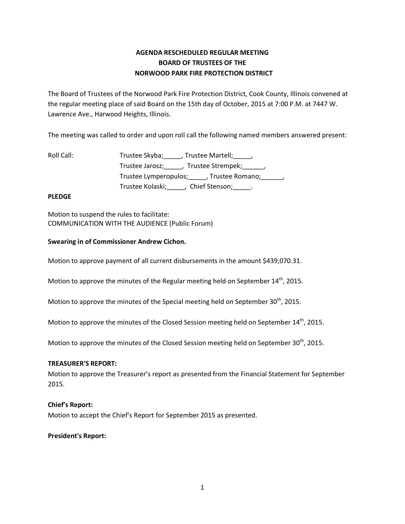# **AGENDA RESCHEDULED REGULAR MEETING BOARD OF TRUSTEES OF THE NORWOOD PARK FIRE PROTECTION DISTRICT**

The Board of Trustees of the Norwood Park Fire Protection District, Cook County, Illinois convened at the regular meeting place of said Board on the 15th day of October, 2015 at 7:00 P.M. at 7447 W. Lawrence Ave., Harwood Heights, Illinois.

The meeting was called to order and upon roll call the following named members answered present:

| Roll Call: | Trustee Skyba; , Trustee Martell; ,                  |
|------------|------------------------------------------------------|
|            | Trustee Jarosz; _____, Trustee Strempek; ______,     |
|            | Trustee Lymperopulos; _____, Trustee Romano; ______, |
|            | Trustee Kolaski; Chief Stenson; _____.               |

# **PLEDGE**

Motion to suspend the rules to facilitate: COMMUNICATION WITH THE AUDIENCE (Public Forum)

# **Swearing in of Commissioner Andrew Cichon.**

Motion to approve payment of all current disbursements in the amount \$439,070.31.

Motion to approve the minutes of the Regular meeting held on September 14<sup>th</sup>, 2015.

Motion to approve the minutes of the Special meeting held on September  $30<sup>th</sup>$ , 2015.

Motion to approve the minutes of the Closed Session meeting held on September 14<sup>th</sup>, 2015.

Motion to approve the minutes of the Closed Session meeting held on September 30<sup>th</sup>, 2015.

## **TREASURER'S REPORT:**

Motion to approve the Treasurer's report as presented from the Financial Statement for September 2015.

## **Chief's Report:**

Motion to accept the Chief's Report for September 2015 as presented.

## **President's Report:**